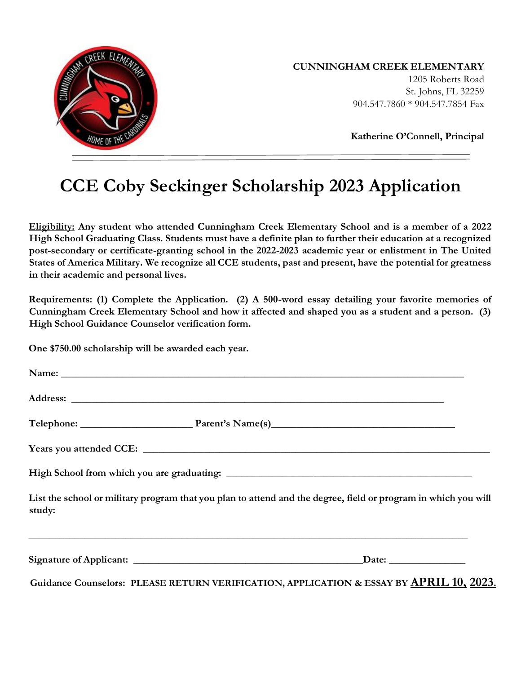

#### **CUNNINGHAM CREEK ELEMENTARY**

1205 Roberts Road St. Johns, FL 32259 904.547.7860 \* 904.547.7854 Fax

**Katherine O'Connell, Principal**

# **CCE Coby Seckinger Scholarship 2023 Application**

**Eligibility: Any student who attended Cunningham Creek Elementary School and is a member of a 2022 High School Graduating Class. Students must have a definite plan to further their education at a recognized post-secondary or certificate-granting school in the 2022-2023 academic year or enlistment in The United States of America Military. We recognize all CCE students, past and present, have the potential for greatness in their academic and personal lives.** 

**Requirements: (1) Complete the Application. (2) A 500-word essay detailing your favorite memories of Cunningham Creek Elementary School and how it affected and shaped you as a student and a person. (3) High School Guidance Counselor verification form.** 

**One \$750.00 scholarship will be awarded each year.** 

|        | Name: Name and the set of the set of the set of the set of the set of the set of the set of the set of the set of the set of the set of the set of the set of the set of the set of the set of the set of the set of the set o |
|--------|--------------------------------------------------------------------------------------------------------------------------------------------------------------------------------------------------------------------------------|
|        |                                                                                                                                                                                                                                |
|        |                                                                                                                                                                                                                                |
|        |                                                                                                                                                                                                                                |
|        |                                                                                                                                                                                                                                |
| study: | List the school or military program that you plan to attend and the degree, field or program in which you will                                                                                                                 |
|        | $\Box$ Date: $\Box$                                                                                                                                                                                                            |

**Guidance Counselors: PLEASE RETURN VERIFICATION, APPLICATION & ESSAY BY APRIL 10, 2023.**